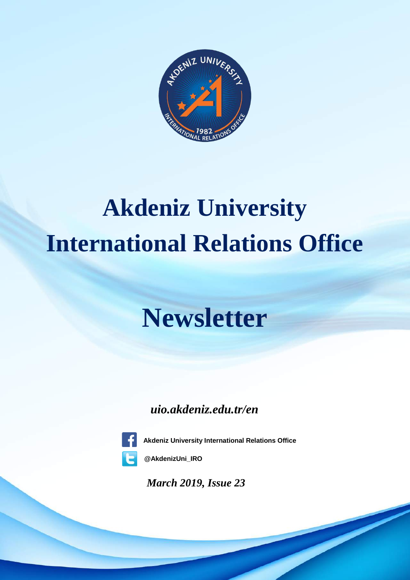

# **Akdeniz University International Relations Office**

# **Newsletter**

*uio.akdeniz.edu.tr/en*



**Akdeniz University International Relations Office**

**@AkdenizUni\_IRO**

*March 2019, Issue 23*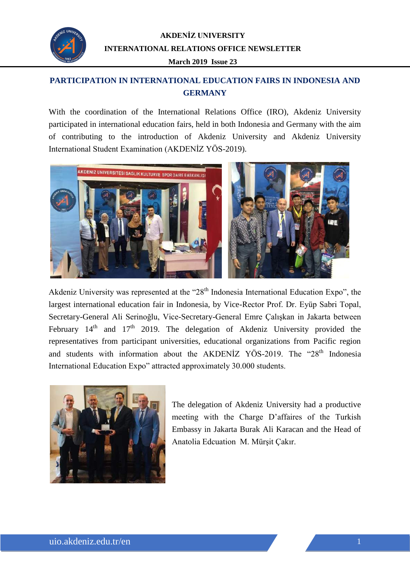

# **PARTICIPATION IN INTERNATIONAL EDUCATION FAIRS IN INDONESIA AND GERMANY**

With the coordination of the International Relations Office (IRO), Akdeniz University participated in international education fairs, held in both Indonesia and Germany with the aim of contributing to the introduction of Akdeniz University and Akdeniz University International Student Examination (AKDENİZ YÖS-2019).



Akdeniz University was represented at the "28<sup>th</sup> Indonesia International Education Expo", the largest international education fair in Indonesia, by Vice-Rector Prof. Dr. Eyüp Sabri Topal, Secretary-General Ali Serinoğlu, Vice-Secretary-General Emre Çalışkan in Jakarta between February  $14<sup>th</sup>$  and  $17<sup>th</sup>$  2019. The delegation of Akdeniz University provided the representatives from participant universities, educational organizations from Pacific region and students with information about the AKDENİZ YÖS-2019. The "28<sup>th</sup> Indonesia International Education Expo" attracted approximately 30.000 students.



The delegation of Akdeniz University had a productive meeting with the Charge D'affaires of the Turkish Embassy in Jakarta Burak Ali Karacan and the Head of Anatolia Edcuation M. Mürşit Çakır.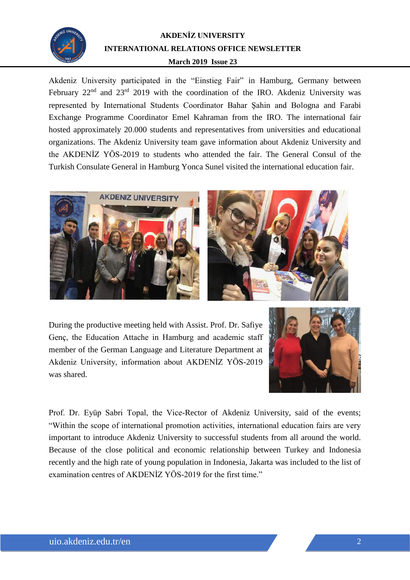

TARIHUM TARIHING THE CODE TO THE TART THE CODE TO THE TART THE CODE TO THE TART THE CODE TO THE TART THE TART TO THE TART THE TART TO THE TART TO THE TART TO THE TART TO THE TART TO THE TART TO THE TART TO THE TART TO THE Akdeniz University participated in the "Einstieg Fair" in Hamburg, Germany between represented by International Students Coordinator Bahar Şahin and Bologna and Farabi Exchange Programme Coordinator Emel Kahraman from the IRO. The international fair hosted approximately 20.000 students and representatives from universities and educational organizations. The Akdeniz University team gave information about Akdeniz University and the AKDENİZ YÖS-2019 to students who attended the fair. The General Consul of the Turkish Consulate General in Hamburg Yonca Sunel visited the international education fair.





During the productive meeting held with Assist. Prof. Dr. Safiye Genç, the Education Attache in Hamburg and academic staff member of the German Language and Literature Department at Akdeniz University, information about AKDENİZ YÖS-2019 was shared.



Prof. Dr. Eyüp Sabri Topal, the Vice-Rector of Akdeniz University, said of the events; "Within the scope of international promotion activities, international education fairs are very important to introduce Akdeniz University to successful students from all around the world. Because of the close political and economic relationship between Turkey and Indonesia recently and the high rate of young population in Indonesia, Jakarta was included to the list of examination centres of AKDENİZ YÖS-2019 for the first time."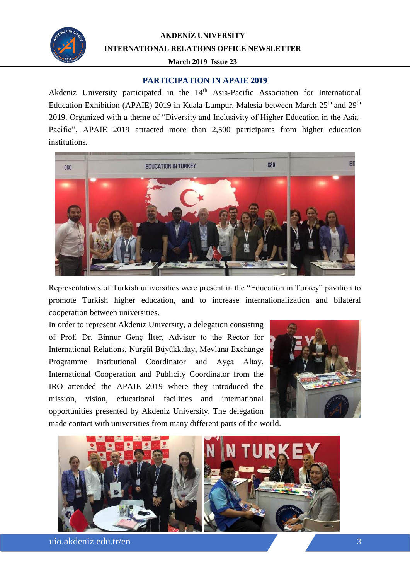

#### **PARTICIPATION IN APAIE 2019**

<sup>T</sup>TARIH CONSUMPTIVE THE 2012 Education Exhibition (APAIE) 2019 in Kuala Lumpur, Malesia between March  $25<sup>th</sup>$  and  $29<sup>th</sup>$ 2019. Organized with a theme of "Diversity and Inclusivity of Higher Education in the Asia-Pacific", APAIE 2019 attracted more than 2,500 participants from higher education institutions.



Representatives of Turkish universities were present in the "Education in Turkey" pavilion to promote Turkish higher education, and to increase internationalization and bilateral cooperation between universities.

In order to represent Akdeniz University, a delegation consisting of Prof. Dr. Binnur Genç İlter, Advisor to the Rector for International Relations, Nurgül Büyükkalay, Mevlana Exchange Programme Institutional Coordinator and Ayça Altay, International Cooperation and Publicity Coordinator from the IRO attended the APAIE 2019 where they introduced the mission, vision, educational facilities and international opportunities presented by Akdeniz University. The delegation



made contact with universities from many different parts of the world.



uio.akdeniz.edu.tr/en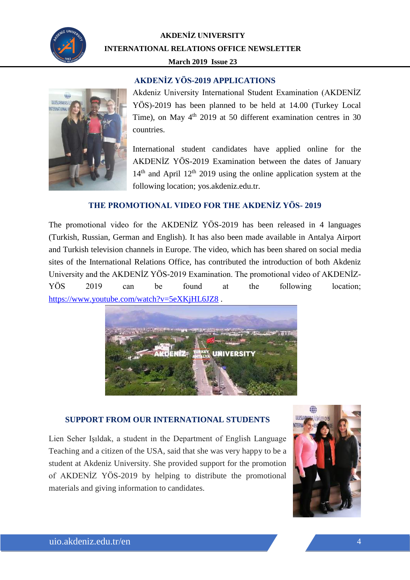

### **AKDENİZ YÖS-2019 APPLICATIONS**



Akdeniz University International Student Examination (AKDENİZ YÖS)-2019 has been planned to be held at 14.00 (Turkey Local Time), on May  $4<sup>th</sup>$  2019 at 50 different examination centres in 30 countries.

International student candidates have applied online for the AKDENİZ YÖS-2019 Examination between the dates of January  $14<sup>th</sup>$  and April  $12<sup>th</sup>$  2019 using the online application system at the following location; yos.akdeniz.edu.tr.

### **THE PROMOTIONAL VIDEO FOR THE AKDENİZ YÖS- 2019**

The promotional video for the AKDENİZ YÖS-2019 has been released in 4 languages (Turkish, Russian, German and English). It has also been made available in Antalya Airport and Turkish television channels in Europe. The video, which has been shared on social media sites of the International Relations Office, has contributed the introduction of both Akdeniz University and the AKDENİZ YÖS-2019 Examination. The promotional video of AKDENİZ-YÖS 2019 can be found at the following location; <https://www.youtube.com/watch?v=5eXKjHL6JZ8> .



#### **SUPPORT FROM OUR INTERNATIONAL STUDENTS**

Lien Seher Işıldak, a student in the Department of English Language Teaching and a citizen of the USA, said that she was very happy to be a student at Akdeniz University. She provided support for the promotion of AKDENİZ YÖS-2019 by helping to distribute the promotional materials and giving information to candidates.

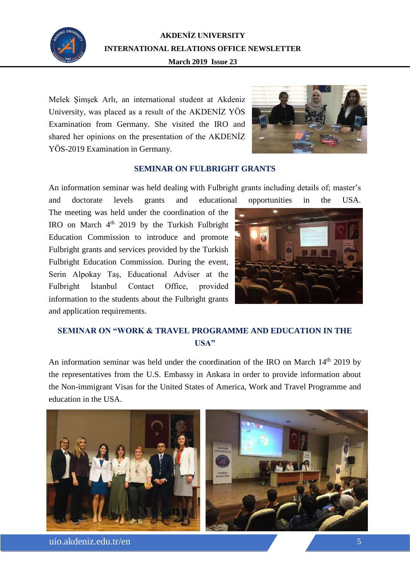

Melek Şimşek Arlı, an international student at Akdeniz University, was placed as a result of the AKDENİZ YÖS Examination from Germany. She visited the IRO and shared her opinions on the presentation of the AKDENİZ YÖS-2019 Examination in Germany.



#### **SEMINAR ON FULBRIGHT GRANTS**

An information seminar was held dealing with Fulbright grants including details of; master's and doctorate levels grants and educational opportunities in the USA.

The meeting was held under the coordination of the IRO on March  $4<sup>th</sup>$  2019 by the Turkish Fulbright Education Commission to introduce and promote Fulbright grants and services provided by the Turkish Fulbright Education Commission. During the event, Serin Alpokay Taş, Educational Adviser at the Fulbright İstanbul Contact Office, provided information to the students about the Fulbright grants and application requirements.



## **SEMINAR ON "WORK & TRAVEL PROGRAMME AND EDUCATION IN THE USA"**

An information seminar was held under the coordination of the IRO on March 14<sup>th</sup> 2019 by the representatives from the U.S. Embassy in Ankara in order to provide information about the Non-immigrant Visas for the United States of America, Work and Travel Programme and education in the USA.



uio.akdeniz.edu.tr/en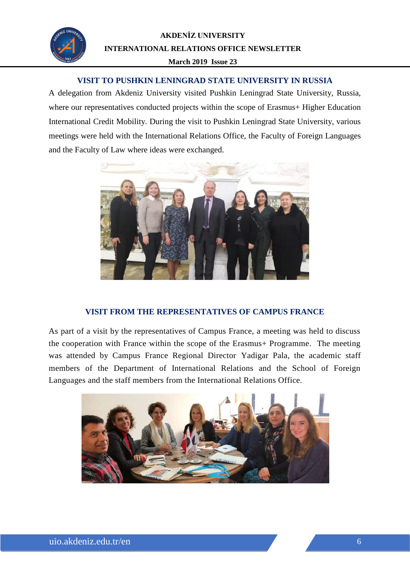

## **VISIT TO PUSHKIN LENINGRAD STATE UNIVERSITY IN RUSSIA**

*TARİH* A delegation from Akdeniz University visited Pushkin Leningrad State University, Russia, where our representatives conducted projects within the scope of Erasmus+ Higher Education International Credit Mobility. During the visit to Pushkin Leningrad State University, various meetings were held with the International Relations Office, the Faculty of Foreign Languages and the Faculty of Law where ideas were exchanged.



#### **VISIT FROM THE REPRESENTATIVES OF CAMPUS FRANCE**

As part of a visit by the representatives of Campus France, a meeting was held to discuss the cooperation with France within the scope of the Erasmus+ Programme. The meeting was attended by Campus France Regional Director Yadigar Pala, the academic staff members of the Department of International Relations and the School of Foreign Languages and the staff members from the International Relations Office.

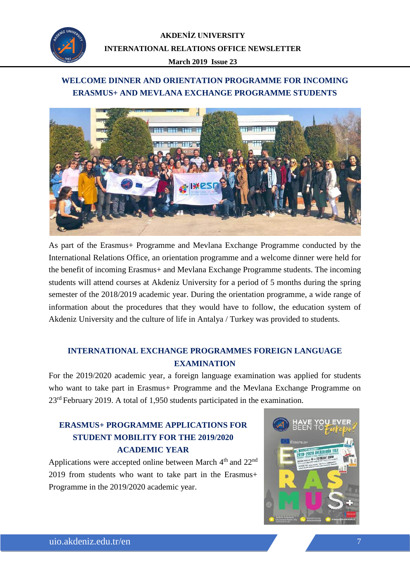

## **WELCOME DINNER AND ORIENTATION PROGRAMME FOR INCOMING ERASMUS+ AND MEVLANA EXCHANGE PROGRAMME STUDENTS**



As part of the Erasmus+ Programme and Mevlana Exchange Programme conducted by the International Relations Office, an orientation programme and a welcome dinner were held for the benefit of incoming Erasmus+ and Mevlana Exchange Programme students. The incoming students will attend courses at Akdeniz University for a period of 5 months during the spring semester of the 2018/2019 academic year. During the orientation programme, a wide range of information about the procedures that they would have to follow, the education system of Akdeniz University and the culture of life in Antalya / Turkey was provided to students.

## **INTERNATIONAL EXCHANGE PROGRAMMES FOREIGN LANGUAGE EXAMINATION**

For the 2019/2020 academic year, a foreign language examination was applied for students who want to take part in Erasmus+ Programme and the Mevlana Exchange Programme on 23rd February 2019. A total of 1,950 students participated in the examination.

# **ERASMUS+ PROGRAMME APPLICATIONS FOR STUDENT MOBILITY FOR THE 2019/2020 ACADEMIC YEAR**

Applications were accepted online between March  $4<sup>th</sup>$  and  $22<sup>nd</sup>$ 2019 from students who want to take part in the Erasmus+ Programme in the 2019/2020 academic year.

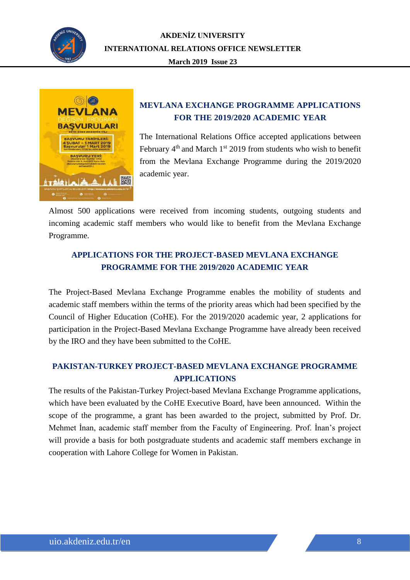



## **MEVLANA EXCHANGE PROGRAMME APPLICATIONS FOR THE 2019/2020 ACADEMIC YEAR**

The International Relations Office accepted applications between February  $4<sup>th</sup>$  and March  $1<sup>st</sup>$  2019 from students who wish to benefit from the Mevlana Exchange Programme during the 2019/2020 academic year.

Almost 500 applications were received from incoming students, outgoing students and incoming academic staff members who would like to benefit from the Mevlana Exchange Programme.

## **APPLICATIONS FOR THE PROJECT-BASED MEVLANA EXCHANGE PROGRAMME FOR THE 2019/2020 ACADEMIC YEAR**

The Project-Based Mevlana Exchange Programme enables the mobility of students and academic staff members within the terms of the priority areas which had been specified by the Council of Higher Education (CoHE). For the 2019/2020 academic year, 2 applications for participation in the Project-Based Mevlana Exchange Programme have already been received by the IRO and they have been submitted to the CoHE.

## **PAKISTAN-TURKEY PROJECT-BASED MEVLANA EXCHANGE PROGRAMME APPLICATIONS**

The results of the Pakistan-Turkey Project-based Mevlana Exchange Programme applications, which have been evaluated by the CoHE Executive Board, have been announced. Within the scope of the programme, a grant has been awarded to the project, submitted by Prof. Dr. Mehmet İnan, academic staff member from the Faculty of Engineering. Prof. İnan's project will provide a basis for both postgraduate students and academic staff members exchange in cooperation with Lahore College for Women in Pakistan.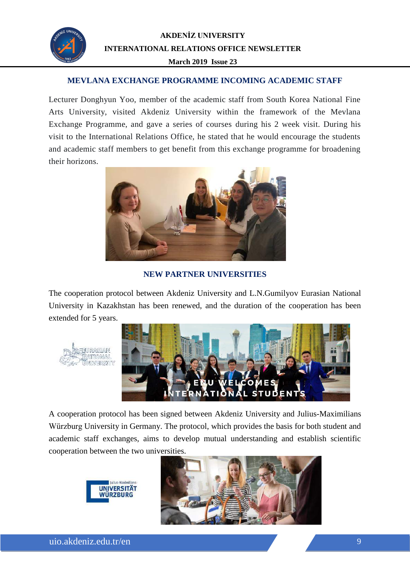

## **MEVLANA EXCHANGE PROGRAMME INCOMING ACADEMIC STAFF**

Lecturer Donghyun Yoo, member of the academic staff from South Korea National Fine Arts University, visited Akdeniz University within the framework of the Mevlana Exchange Programme, and gave a series of courses during his 2 week visit. During his visit to the International Relations Office, he stated that he would encourage the students and academic staff members to get benefit from this exchange programme for broadening their horizons.



**NEW PARTNER UNIVERSITIES**

The cooperation protocol between Akdeniz University and L.N.Gumilyov Eurasian National University in Kazakhstan has been renewed, and the duration of the cooperation has been extended for 5 years.





A cooperation protocol has been signed between Akdeniz University and Julius-Maximilians Würzburg University in Germany. The protocol, which provides the basis for both student and academic staff exchanges, aims to develop mutual understanding and establish scientific cooperation between the two universities.





uio.akdeniz.edu.tr/en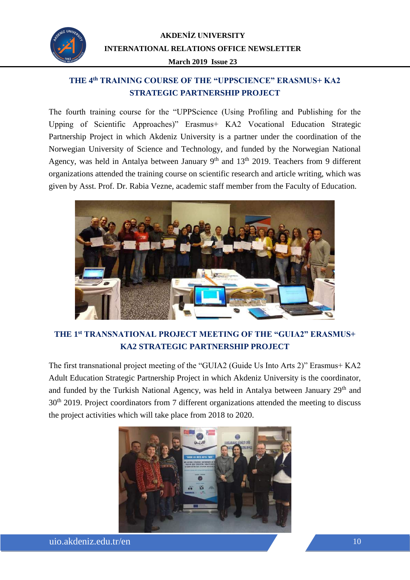

# **THE 4th TRAINING COURSE OF THE "UPPSCIENCE" ERASMUS+ KA2 STRATEGIC PARTNERSHIP PROJECT**

The fourth training course for the "UPPScience (Using Profiling and Publishing for the Upping of Scientific Approaches)" Erasmus+ KA2 Vocational Education Strategic Partnership Project in which Akdeniz University is a partner under the coordination of the Norwegian University of Science and Technology, and funded by the Norwegian National Agency, was held in Antalya between January 9<sup>th</sup> and 13<sup>th</sup> 2019. Teachers from 9 different organizations attended the training course on scientific research and article writing, which was given by Asst. Prof. Dr. Rabia Vezne, academic staff member from the Faculty of Education.



# **THE 1st TRANSNATIONAL PROJECT MEETING OF THE "GUIA2" ERASMUS+ KA2 STRATEGIC PARTNERSHIP PROJECT**

The first transnational project meeting of the "GUIA2 (Guide Us Into Arts 2)" Erasmus+ KA2 Adult Education Strategic Partnership Project in which Akdeniz University is the coordinator, and funded by the Turkish National Agency, was held in Antalya between January 29<sup>th</sup> and 30<sup>th</sup> 2019. Project coordinators from 7 different organizations attended the meeting to discuss the project activities which will take place from 2018 to 2020.

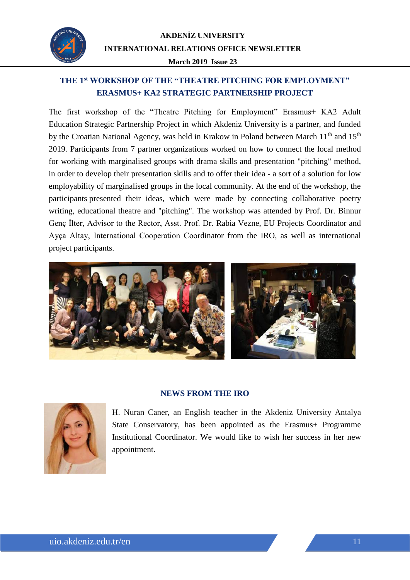

# **THE 1st WORKSHOP OF THE "THEATRE PITCHING FOR EMPLOYMENT" ERASMUS+ KA2 STRATEGIC PARTNERSHIP PROJECT**

The first workshop of the "Theatre Pitching for Employment" Erasmus+ KA2 Adult Education Strategic Partnership Project in which Akdeniz University is a partner, and funded by the Croatian National Agency, was held in Krakow in Poland between March 11<sup>th</sup> and 15<sup>th</sup> 2019. Participants from 7 partner organizations worked on how to connect the local method for working with marginalised groups with drama skills and presentation "pitching" method, in order to develop their presentation skills and to offer their idea - a sort of a solution for low employability of marginalised groups in the local community. At the end of the workshop, the participants presented their ideas, which were made by connecting collaborative poetry writing, educational theatre and "pitching". The workshop was attended by Prof. Dr. Binnur Genç İlter, Advisor to the Rector, Asst. Prof. Dr. Rabia Vezne, EU Projects Coordinator and Ayça Altay, International Cooperation Coordinator from the IRO, as well as international project participants.



#### **NEWS FROM THE IRO**



H. Nuran Caner, an English teacher in the Akdeniz University Antalya State Conservatory, has been appointed as the Erasmus+ Programme Institutional Coordinator. We would like to wish her success in her new appointment.